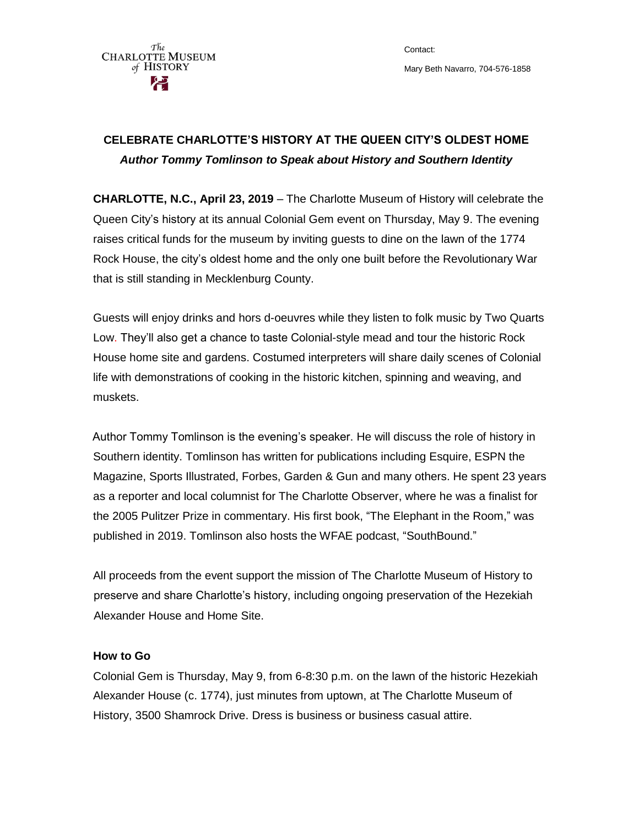The **CHARLOTTE MUSEUM** of HISTORY

Contact: Mary Beth Navarro, 704-576-1858

## **CELEBRATE CHARLOTTE'S HISTORY AT THE QUEEN CITY'S OLDEST HOME** *Author Tommy Tomlinson to Speak about History and Southern Identity*

**CHARLOTTE, N.C., April 23, 2019** – The Charlotte Museum of History will celebrate the Queen City's history at its annual Colonial Gem event on Thursday, May 9. The evening raises critical funds for the museum by inviting guests to dine on the lawn of the 1774 Rock House, the city's oldest home and the only one built before the Revolutionary War that is still standing in Mecklenburg County.

Guests will enjoy drinks and hors d-oeuvres while they listen to folk music by Two Quarts Low. They'll also get a chance to taste Colonial-style mead and tour the historic Rock House home site and gardens. Costumed interpreters will share daily scenes of Colonial life with demonstrations of cooking in the historic kitchen, spinning and weaving, and muskets.

Author Tommy Tomlinson is the evening's speaker. He will discuss the role of history in Southern identity. Tomlinson has written for publications including Esquire, ESPN the Magazine, Sports Illustrated, Forbes, Garden & Gun and many others. He spent 23 years as a reporter and local columnist for The Charlotte Observer, where he was a finalist for the 2005 Pulitzer Prize in commentary. His first book, ["The Elephant in the Room,](http://tommytomlinson.com/the-elephant-in-the-room/)" was published in 2019. Tomlinson also hosts the WFAE podcast, ["SouthBound.](http://tommytomlinson.com/podcast/)"

All proceeds from the event support the mission of The Charlotte Museum of History to preserve and share Charlotte's history, including ongoing preservation of the Hezekiah Alexander House and Home Site.

## **How to Go**

Colonial Gem is Thursday, May 9, from 6-8:30 p.m. on the lawn of the historic Hezekiah Alexander House (c. 1774), just minutes from uptown, at The Charlotte Museum of History, 3500 Shamrock Drive. Dress is business or business casual attire.